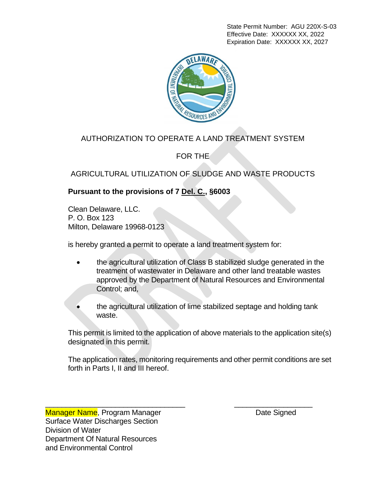State Permit Number: AGU 220X-S-03 Effective Date: XXXXXX XX, 2022 Expiration Date: XXXXXX XX, 2027



# AUTHORIZATION TO OPERATE A LAND TREATMENT SYSTEM

FOR THE

AGRICULTURAL UTILIZATION OF SLUDGE AND WASTE PRODUCTS

## **Pursuant to the provisions of 7 Del. C., §6003**

 Clean Delaware, LLC. P. O. Box 123 Milton, Delaware 19968-0123

is hereby granted a permit to operate a land treatment system for:

- the agricultural utilization of Class B stabilized sludge generated in the treatment of wastewater in Delaware and other land treatable wastes approved by the Department of Natural Resources and Environmental Control; and,
- the agricultural utilization of lime stabilized septage and holding tank waste.

This permit is limited to the application of above materials to the application site(s) designated in this permit.

The application rates, monitoring requirements and other permit conditions are set forth in Parts I, II and III hereof.

\_\_\_\_\_\_\_\_\_\_\_\_\_\_\_\_\_\_\_\_\_\_\_\_\_\_\_\_\_\_\_\_\_\_ \_\_\_\_\_\_\_\_\_\_\_\_\_\_\_\_\_\_\_

Manager Name, Program Manager **Date Signed** Date Signed Surface Water Discharges Section Division of Water Department Of Natural Resources and Environmental Control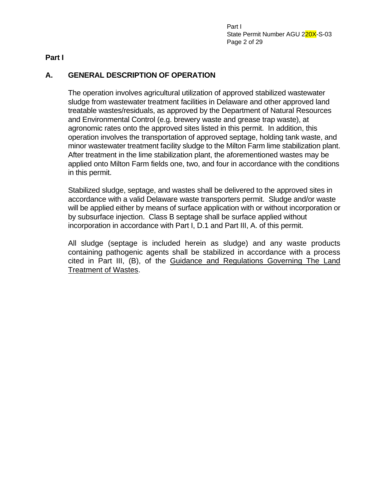Part I State Permit Number AGU 220X-S-03 Page 2 of 29

**Part I**

# **A. GENERAL DESCRIPTION OF OPERATION**

The operation involves agricultural utilization of approved stabilized wastewater sludge from wastewater treatment facilities in Delaware and other approved land treatable wastes/residuals, as approved by the Department of Natural Resources and Environmental Control (e.g. brewery waste and grease trap waste), at agronomic rates onto the approved sites listed in this permit. In addition, this operation involves the transportation of approved septage, holding tank waste, and minor wastewater treatment facility sludge to the Milton Farm lime stabilization plant. After treatment in the lime stabilization plant, the aforementioned wastes may be applied onto Milton Farm fields one, two, and four in accordance with the conditions in this permit.

Stabilized sludge, septage, and wastes shall be delivered to the approved sites in accordance with a valid Delaware waste transporters permit. Sludge and/or waste will be applied either by means of surface application with or without incorporation or by subsurface injection. Class B septage shall be surface applied without incorporation in accordance with Part I, D.1 and Part III, A. of this permit.

All sludge (septage is included herein as sludge) and any waste products containing pathogenic agents shall be stabilized in accordance with a process cited in Part III, (B), of the Guidance and Regulations Governing The Land Treatment of Wastes.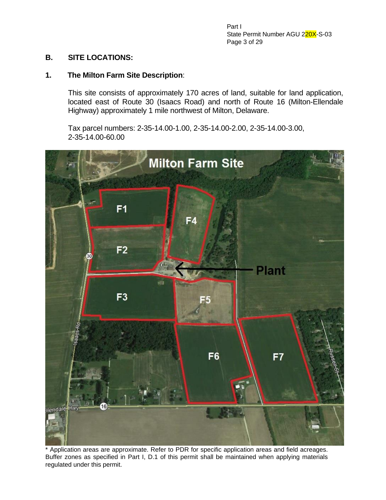Part I State Permit Number AGU 220X-S-03 Page 3 of 29

#### **B. SITE LOCATIONS:**

#### **1. The Milton Farm Site Description**:

This site consists of approximately 170 acres of land, suitable for land application, located east of Route 30 (Isaacs Road) and north of Route 16 (Milton-Ellendale Highway) approximately 1 mile northwest of Milton, Delaware.

Tax parcel numbers: 2-35-14.00-1.00, 2-35-14.00-2.00, 2-35-14.00-3.00, 2-35-14.00-60.00



\* Application areas are approximate. Refer to PDR for specific application areas and field acreages. Buffer zones as specified in Part I, D.1 of this permit shall be maintained when applying materials regulated under this permit.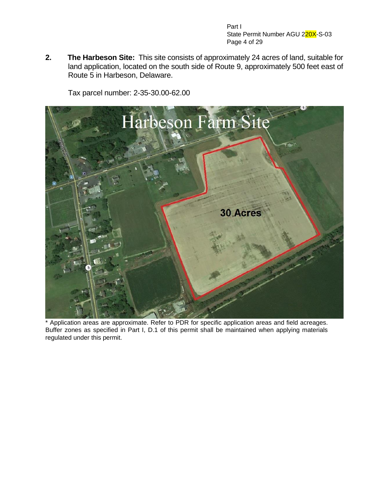Part I State Permit Number AGU 220X-S-03 Page 4 of 29

**2. The Harbeson Site:** This site consists of approximately 24 acres of land, suitable for land application, located on the south side of Route 9, approximately 500 feet east of Route 5 in Harbeson, Delaware.

Tax parcel number: 2-35-30.00-62.00



\* Application areas are approximate. Refer to PDR for specific application areas and field acreages. Buffer zones as specified in Part I, D.1 of this permit shall be maintained when applying materials regulated under this permit.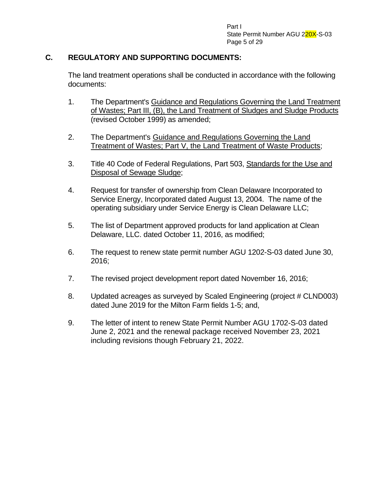Part I State Permit Number AGU 220X-S-03 Page 5 of 29

### **C. REGULATORY AND SUPPORTING DOCUMENTS:**

The land treatment operations shall be conducted in accordance with the following documents:

- 1. The Department's Guidance and Regulations Governing the Land Treatment of Wastes; Part III, (B), the Land Treatment of Sludges and Sludge Products (revised October 1999) as amended;
- 2. The Department's Guidance and Regulations Governing the Land Treatment of Wastes; Part V, the Land Treatment of Waste Products;
- 3. Title 40 Code of Federal Regulations, Part 503, Standards for the Use and Disposal of Sewage Sludge;
- 4. Request for transfer of ownership from Clean Delaware Incorporated to Service Energy, Incorporated dated August 13, 2004. The name of the operating subsidiary under Service Energy is Clean Delaware LLC;
- 5. The list of Department approved products for land application at Clean Delaware, LLC. dated October 11, 2016, as modified;
- 6. The request to renew state permit number AGU 1202-S-03 dated June 30, 2016;
- 7. The revised project development report dated November 16, 2016;
- 8. Updated acreages as surveyed by Scaled Engineering (project # CLND003) dated June 2019 for the Milton Farm fields 1-5; and,
- 9. The letter of intent to renew State Permit Number AGU 1702-S-03 dated June 2, 2021 and the renewal package received November 23, 2021 including revisions though February 21, 2022.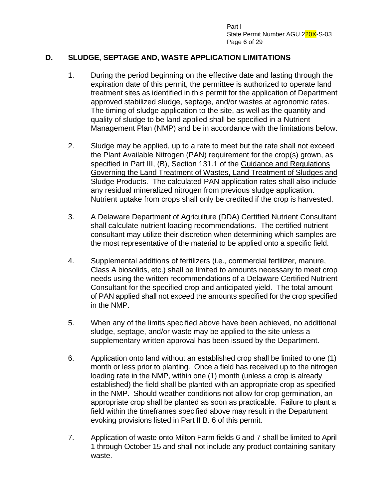Part I State Permit Number AGU 220X-S-03 Page 6 of 29

### **D. SLUDGE, SEPTAGE AND, WASTE APPLICATION LIMITATIONS**

- 1. During the period beginning on the effective date and lasting through the expiration date of this permit, the permittee is authorized to operate land treatment sites as identified in this permit for the application of Department approved stabilized sludge, septage, and/or wastes at agronomic rates. The timing of sludge application to the site, as well as the quantity and quality of sludge to be land applied shall be specified in a Nutrient Management Plan (NMP) and be in accordance with the limitations below.
- 2. Sludge may be applied, up to a rate to meet but the rate shall not exceed the Plant Available Nitrogen (PAN) requirement for the crop(s) grown, as specified in Part III, (B), Section 131.1 of the Guidance and Regulations Governing the Land Treatment of Wastes, Land Treatment of Sludges and Sludge Products. The calculated PAN application rates shall also include any residual mineralized nitrogen from previous sludge application. Nutrient uptake from crops shall only be credited if the crop is harvested.
- 3. A Delaware Department of Agriculture (DDA) Certified Nutrient Consultant shall calculate nutrient loading recommendations. The certified nutrient consultant may utilize their discretion when determining which samples are the most representative of the material to be applied onto a specific field.
- 4. Supplemental additions of fertilizers (i.e., commercial fertilizer, manure, Class A biosolids, etc.) shall be limited to amounts necessary to meet crop needs using the written recommendations of a Delaware Certified Nutrient Consultant for the specified crop and anticipated yield. The total amount of PAN applied shall not exceed the amounts specified for the crop specified in the NMP.
- 5. When any of the limits specified above have been achieved, no additional sludge, septage, and/or waste may be applied to the site unless a supplementary written approval has been issued by the Department.
- 6. Application onto land without an established crop shall be limited to one (1) month or less prior to planting. Once a field has received up to the nitrogen loading rate in the NMP, within one (1) month (unless a crop is already established) the field shall be planted with an appropriate crop as specified in the NMP. Should weather conditions not allow for crop germination, an appropriate crop shall be planted as soon as practicable. Failure to plant a field within the timeframes specified above may result in the Department evoking provisions listed in Part II B. 6 of this permit.
- 7. Application of waste onto Milton Farm fields 6 and 7 shall be limited to April 1 through October 15 and shall not include any product containing sanitary waste.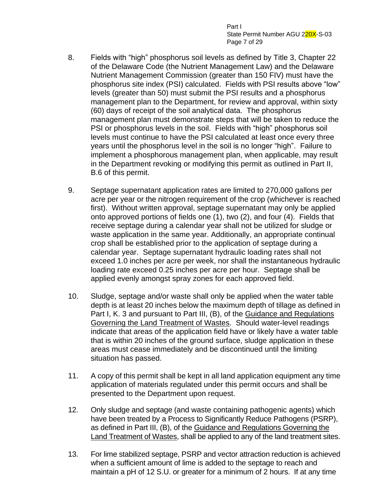Part I State Permit Number AGU 220X-S-03 Page 7 of 29

- 8. Fields with "high" phosphorus soil levels as defined by Title 3, Chapter 22 of the Delaware Code (the Nutrient Management Law) and the Delaware Nutrient Management Commission (greater than 150 FIV) must have the phosphorus site index (PSI) calculated. Fields with PSI results above "low" levels (greater than 50) must submit the PSI results and a phosphorus management plan to the Department, for review and approval, within sixty (60) days of receipt of the soil analytical data. The phosphorus management plan must demonstrate steps that will be taken to reduce the PSI or phosphorus levels in the soil. Fields with "high" phosphorus soil levels must continue to have the PSI calculated at least once every three years until the phosphorus level in the soil is no longer "high". Failure to implement a phosphorous management plan, when applicable, may result in the Department revoking or modifying this permit as outlined in Part II, B.6 of this permit.
- 9. Septage supernatant application rates are limited to 270,000 gallons per acre per year or the nitrogen requirement of the crop (whichever is reached first). Without written approval, septage supernatant may only be applied onto approved portions of fields one (1), two (2), and four (4). Fields that receive septage during a calendar year shall not be utilized for sludge or waste application in the same year. Additionally, an appropriate continual crop shall be established prior to the application of septage during a calendar year. Septage supernatant hydraulic loading rates shall not exceed 1.0 inches per acre per week, nor shall the instantaneous hydraulic loading rate exceed 0.25 inches per acre per hour. Septage shall be applied evenly amongst spray zones for each approved field.
- 10. Sludge, septage and/or waste shall only be applied when the water table depth is at least 20 inches below the maximum depth of tillage as defined in Part I, K. 3 and pursuant to Part III, (B), of the Guidance and Regulations Governing the Land Treatment of Wastes. Should water-level readings indicate that areas of the application field have or likely have a water table that is within 20 inches of the ground surface, sludge application in these areas must cease immediately and be discontinued until the limiting situation has passed.
- 11. A copy of this permit shall be kept in all land application equipment any time application of materials regulated under this permit occurs and shall be presented to the Department upon request.
- 12. Only sludge and septage (and waste containing pathogenic agents) which have been treated by a Process to Significantly Reduce Pathogens (PSRP), as defined in Part III, (B), of the Guidance and Regulations Governing the Land Treatment of Wastes, shall be applied to any of the land treatment sites.
- 13. For lime stabilized septage, PSRP and vector attraction reduction is achieved when a sufficient amount of lime is added to the septage to reach and maintain a pH of 12 S.U. or greater for a minimum of 2 hours. If at any time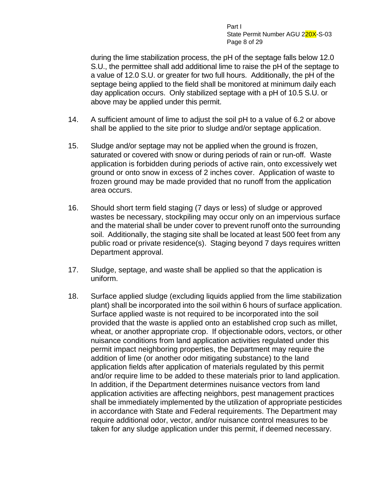Part I State Permit Number AGU 220X-S-03 Page 8 of 29

during the lime stabilization process, the pH of the septage falls below 12.0 S.U., the permittee shall add additional lime to raise the pH of the septage to a value of 12.0 S.U. or greater for two full hours. Additionally, the pH of the septage being applied to the field shall be monitored at minimum daily each day application occurs. Only stabilized septage with a pH of 10.5 S.U. or above may be applied under this permit.

- 14. A sufficient amount of lime to adjust the soil pH to a value of 6.2 or above shall be applied to the site prior to sludge and/or septage application.
- 15. Sludge and/or septage may not be applied when the ground is frozen, saturated or covered with snow or during periods of rain or run-off. Waste application is forbidden during periods of active rain, onto excessively wet ground or onto snow in excess of 2 inches cover. Application of waste to frozen ground may be made provided that no runoff from the application area occurs.
- 16. Should short term field staging (7 days or less) of sludge or approved wastes be necessary, stockpiling may occur only on an impervious surface and the material shall be under cover to prevent runoff onto the surrounding soil. Additionally, the staging site shall be located at least 500 feet from any public road or private residence(s). Staging beyond 7 days requires written Department approval.
- 17. Sludge, septage, and waste shall be applied so that the application is uniform.
- 18. Surface applied sludge (excluding liquids applied from the lime stabilization plant) shall be incorporated into the soil within 6 hours of surface application. Surface applied waste is not required to be incorporated into the soil provided that the waste is applied onto an established crop such as millet, wheat, or another appropriate crop. If objectionable odors, vectors, or other nuisance conditions from land application activities regulated under this permit impact neighboring properties, the Department may require the addition of lime (or another odor mitigating substance) to the land application fields after application of materials regulated by this permit and/or require lime to be added to these materials prior to land application. In addition, if the Department determines nuisance vectors from land application activities are affecting neighbors, pest management practices shall be immediately implemented by the utilization of appropriate pesticides in accordance with State and Federal requirements. The Department may require additional odor, vector, and/or nuisance control measures to be taken for any sludge application under this permit, if deemed necessary.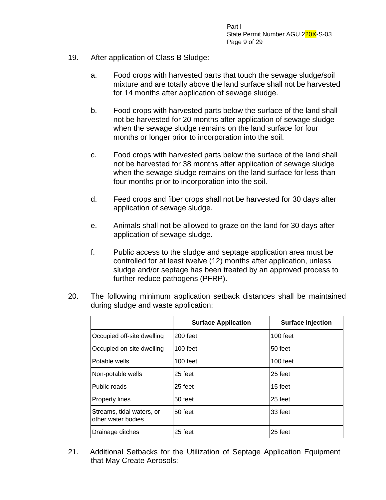Part I State Permit Number AGU 220X-S-03 Page 9 of 29

- 19. After application of Class B Sludge:
	- a. Food crops with harvested parts that touch the sewage sludge/soil mixture and are totally above the land surface shall not be harvested for 14 months after application of sewage sludge.
	- b. Food crops with harvested parts below the surface of the land shall not be harvested for 20 months after application of sewage sludge when the sewage sludge remains on the land surface for four months or longer prior to incorporation into the soil.
	- c. Food crops with harvested parts below the surface of the land shall not be harvested for 38 months after application of sewage sludge when the sewage sludge remains on the land surface for less than four months prior to incorporation into the soil.
	- d. Feed crops and fiber crops shall not be harvested for 30 days after application of sewage sludge.
	- e. Animals shall not be allowed to graze on the land for 30 days after application of sewage sludge.
	- f. Public access to the sludge and septage application area must be controlled for at least twelve (12) months after application, unless sludge and/or septage has been treated by an approved process to further reduce pathogens (PFRP).
- 20. The following minimum application setback distances shall be maintained during sludge and waste application:

|                                                 | <b>Surface Application</b> | <b>Surface Injection</b> |
|-------------------------------------------------|----------------------------|--------------------------|
| Occupied off-site dwelling                      | 200 feet                   | $100$ feet               |
| Occupied on-site dwelling                       | $100$ feet                 | 50 feet                  |
| Potable wells                                   | $100$ feet                 | $100$ feet               |
| Non-potable wells                               | 25 feet                    | 25 feet                  |
| Public roads                                    | 25 feet                    | 15 feet                  |
| <b>Property lines</b>                           | 50 feet                    | 25 feet                  |
| Streams, tidal waters, or<br>other water bodies | 50 feet                    | 33 feet                  |
| Drainage ditches                                | 25 feet                    | 25 feet                  |

21. Additional Setbacks for the Utilization of Septage Application Equipment that May Create Aerosols: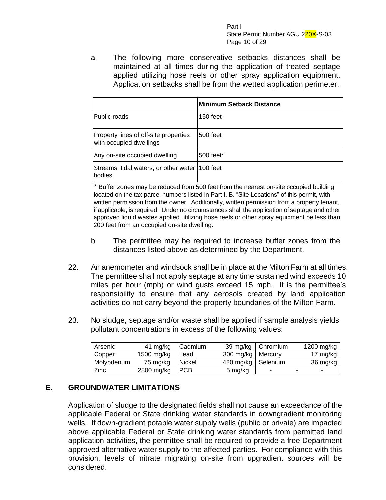Part I State Permit Number AGU 220X-S-03 Page 10 of 29

a. The following more conservative setbacks distances shall be maintained at all times during the application of treated septage applied utilizing hose reels or other spray application equipment. Application setbacks shall be from the wetted application perimeter.

|                                                                  | <b>Minimum Setback Distance</b> |
|------------------------------------------------------------------|---------------------------------|
| Public roads                                                     | $150$ feet                      |
| Property lines of off-site properties<br>with occupied dwellings | 500 feet                        |
| Any on-site occupied dwelling                                    | 500 feet*                       |
| Streams, tidal waters, or other water   100 feet<br>bodies       |                                 |

\* Buffer zones may be reduced from 500 feet from the nearest on-site occupied building, located on the tax parcel numbers listed in Part I, B. "Site Locations" of this permit, with written permission from the owner. Additionally, written permission from a property tenant, if applicable, is required. Under no circumstances shall the application of septage and other approved liquid wastes applied utilizing hose reels or other spray equipment be less than 200 feet from an occupied on-site dwelling.

- b. The permittee may be required to increase buffer zones from the distances listed above as determined by the Department.
- 22. An anemometer and windsock shall be in place at the Milton Farm at all times. The permittee shall not apply septage at any time sustained wind exceeds 10 miles per hour (mph) or wind gusts exceed 15 mph. It is the permittee's responsibility to ensure that any aerosols created by land application activities do not carry beyond the property boundaries of the Milton Farm.
- 23. No sludge, septage and/or waste shall be applied if sample analysis yields pollutant concentrations in excess of the following values:

| Arsenic    | 41 mg/kg   | Cadmium |                      | 39 mg/kg   Chromium | 1200 mg/kg |
|------------|------------|---------|----------------------|---------------------|------------|
| Copper     | 1500 mg/kg | Lead    | 300 mg/kg   Mercury  |                     | 17 mg/kg   |
| Molybdenum | 75 mg/kg   | Nickel  | 420 mg/kg   Selenium |                     | 36 mg/kg   |
| Zinc       | 2800 mg/kg | I PCB   | 5 mg/kg              | ۰                   | -          |

### **E. GROUNDWATER LIMITATIONS**

Application of sludge to the designated fields shall not cause an exceedance of the applicable Federal or State drinking water standards in downgradient monitoring wells. If down-gradient potable water supply wells (public or private) are impacted above applicable Federal or State drinking water standards from permitted land application activities, the permittee shall be required to provide a free Department approved alternative water supply to the affected parties. For compliance with this provision, levels of nitrate migrating on-site from upgradient sources will be considered.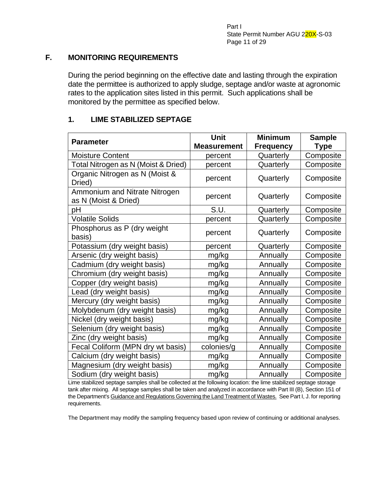### **F. MONITORING REQUIREMENTS**

During the period beginning on the effective date and lasting through the expiration date the permittee is authorized to apply sludge, septage and/or waste at agronomic rates to the application sites listed in this permit. Such applications shall be monitored by the permittee as specified below.

### **1. LIME STABILIZED SEPTAGE**

| <b>Parameter</b>                                      | <b>Unit</b>        | <b>Minimum</b>   | <b>Sample</b> |
|-------------------------------------------------------|--------------------|------------------|---------------|
|                                                       | <b>Measurement</b> | <b>Frequency</b> | <b>Type</b>   |
| <b>Moisture Content</b>                               | percent            | Quarterly        | Composite     |
| Total Nitrogen as N (Moist & Dried)                   | percent            | Quarterly        | Composite     |
| Organic Nitrogen as N (Moist &<br>Dried)              | percent            | Quarterly        | Composite     |
| Ammonium and Nitrate Nitrogen<br>as N (Moist & Dried) | percent            | Quarterly        | Composite     |
| рH                                                    | S.U.               | Quarterly        | Composite     |
| <b>Volatile Solids</b>                                | percent            | Quarterly        | Composite     |
| Phosphorus as P (dry weight<br>basis)                 | percent            | Quarterly        | Composite     |
| Potassium (dry weight basis)                          | percent            | Quarterly        | Composite     |
| Arsenic (dry weight basis)                            | mg/kg              | Annually         | Composite     |
| Cadmium (dry weight basis)                            | mg/kg              | Annually         | Composite     |
| Chromium (dry weight basis)                           | mg/kg              | Annually         | Composite     |
| Copper (dry weight basis)                             | mg/kg              | Annually         | Composite     |
| Lead (dry weight basis)                               | mg/kg              | Annually         | Composite     |
| Mercury (dry weight basis)                            | mg/kg              | Annually         | Composite     |
| Molybdenum (dry weight basis)                         | mg/kg              | Annually         | Composite     |
| Nickel (dry weight basis)                             | mg/kg              | Annually         | Composite     |
| Selenium (dry weight basis)                           | mg/kg              | Annually         | Composite     |
| Zinc (dry weight basis)                               | mg/kg              | Annually         | Composite     |
| Fecal Coliform (MPN dry wt basis)                     | colonies/g         | Annually         | Composite     |
| Calcium (dry weight basis)                            | mg/kg              | Annually         | Composite     |
| Magnesium (dry weight basis)                          | mg/kg              | Annually         | Composite     |
| Sodium (dry weight basis)                             | mg/kg              | Annually         | Composite     |

Lime stabilized septage samples shall be collected at the following location: the lime stabilized septage storage tank after mixing. All septage samples shall be taken and analyzed in accordance with Part III (B), Section 151 of the Department's Guidance and Regulations Governing the Land Treatment of Wastes. See Part I, J. for reporting requirements.

The Department may modify the sampling frequency based upon review of continuing or additional analyses.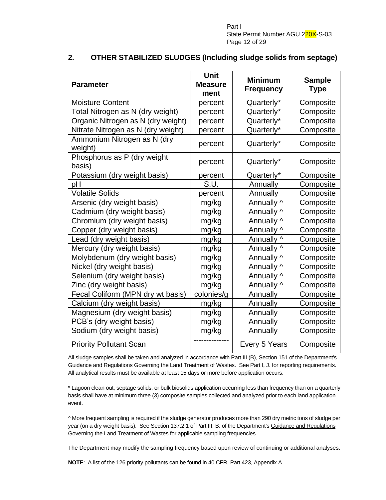Part I State Permit Number AGU 220X-S-03 Page 12 of 29

| <b>Parameter</b>                       | <b>Unit</b><br><b>Measure</b><br>ment | <b>Minimum</b><br><b>Frequency</b> | <b>Sample</b><br><b>Type</b> |
|----------------------------------------|---------------------------------------|------------------------------------|------------------------------|
| <b>Moisture Content</b>                | percent                               | Quarterly*                         | Composite                    |
| Total Nitrogen as N (dry weight)       | percent                               | Quarterly*                         | Composite                    |
| Organic Nitrogen as N (dry weight)     | percent                               | Quarterly*                         | Composite                    |
| Nitrate Nitrogen as N (dry weight)     | percent                               | Quarterly*                         | Composite                    |
| Ammonium Nitrogen as N (dry<br>weight) | percent                               | Quarterly*                         | Composite                    |
| Phosphorus as P (dry weight<br>basis)  | percent                               | Quarterly*                         | Composite                    |
| Potassium (dry weight basis)           | percent                               | Quarterly*                         | Composite                    |
| рH                                     | S.U.                                  | Annually                           | Composite                    |
| <b>Volatile Solids</b>                 | percent                               | Annually                           | Composite                    |
| Arsenic (dry weight basis)             | mg/kg                                 | Annually ^                         | Composite                    |
| Cadmium (dry weight basis)             | mg/kg                                 | Annually ^                         | Composite                    |
| Chromium (dry weight basis)            | mg/kg                                 | Annually ^                         | Composite                    |
| Copper (dry weight basis)              | mg/kg                                 | Annually ^                         | Composite                    |
| Lead (dry weight basis)                | mg/kg                                 | Annually ^                         | Composite                    |
| Mercury (dry weight basis)             | mg/kg                                 | Annually ^                         | Composite                    |
| Molybdenum (dry weight basis)          | mg/kg                                 | Annually ^                         | Composite                    |
| Nickel (dry weight basis)              | mg/kg                                 | Annually ^                         | Composite                    |
| Selenium (dry weight basis)            | mg/kg                                 | Annually ^                         | Composite                    |
| Zinc (dry weight basis)                | mg/kg                                 | Annually ^                         | Composite                    |
| Fecal Coliform (MPN dry wt basis)      | colonies/g                            | Annually                           | Composite                    |
| Calcium (dry weight basis)             | mg/kg                                 | Annually                           | Composite                    |
| Magnesium (dry weight basis)           | mg/kg                                 | Annually                           | Composite                    |
| PCB's (dry weight basis)               | mg/kg                                 | Annually                           | Composite                    |
| Sodium (dry weight basis)              | mg/kg                                 | Annually                           | Composite                    |
| <b>Priority Pollutant Scan</b>         |                                       | Every 5 Years                      | Composite                    |

#### **2. OTHER STABILIZED SLUDGES (Including sludge solids from septage)**

All sludge samples shall be taken and analyzed in accordance with Part III (B), Section 151 of the Department's Guidance and Regulations Governing the Land Treatment of Wastes. See Part I, J. for reporting requirements. All analytical results must be available at least 15 days or more before application occurs.

\* Lagoon clean out, septage solids, or bulk biosolids application occurring less than frequency than on a quarterly basis shall have at minimum three (3) composite samples collected and analyzed prior to each land application event.

^ More frequent sampling is required if the sludge generator produces more than 290 dry metric tons of sludge per year (on a dry weight basis). See Section 137.2.1 of Part III, B. of the Department's Guidance and Regulations Governing the Land Treatment of Wastes for applicable sampling frequencies.

The Department may modify the sampling frequency based upon review of continuing or additional analyses.

**NOTE**: A list of the 126 priority pollutants can be found in 40 CFR, Part 423, Appendix A.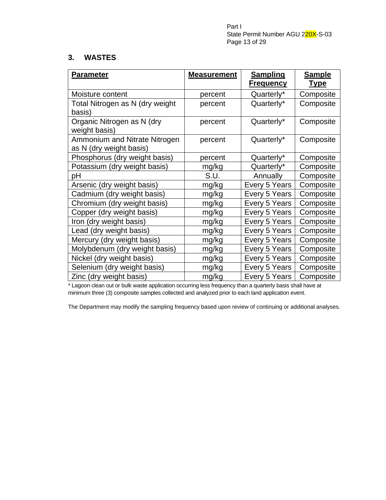Part I State Permit Number AGU 220X-S-03 Page 13 of 29

#### **3. WASTES**

| <b>Parameter</b>                | <b>Measurement</b> | <b>Sampling</b><br><u>Frequency</u> | <b>Sample</b><br><u>Type</u> |
|---------------------------------|--------------------|-------------------------------------|------------------------------|
| Moisture content                | percent            | Quarterly*                          | Composite                    |
| Total Nitrogen as N (dry weight | percent            | Quarterly*                          | Composite                    |
| basis)                          |                    |                                     |                              |
| Organic Nitrogen as N (dry      | percent            | Quarterly*                          | Composite                    |
| weight basis)                   |                    |                                     |                              |
| Ammonium and Nitrate Nitrogen   | percent            | Quarterly*                          | Composite                    |
| as N (dry weight basis)         |                    |                                     |                              |
| Phosphorus (dry weight basis)   | percent            | Quarterly*                          | Composite                    |
| Potassium (dry weight basis)    | mg/kg              | Quarterly*                          | Composite                    |
| рH                              | S.U.               | Annually                            | Composite                    |
| Arsenic (dry weight basis)      | mg/kg              | Every 5 Years                       | Composite                    |
| Cadmium (dry weight basis)      | mg/kg              | Every 5 Years                       | Composite                    |
| Chromium (dry weight basis)     | mg/kg              | Every 5 Years                       | Composite                    |
| Copper (dry weight basis)       | mg/kg              | Every 5 Years                       | Composite                    |
| Iron (dry weight basis)         | mg/kg              | Every 5 Years                       | Composite                    |
| Lead (dry weight basis)         | mg/kg              | Every 5 Years                       | Composite                    |
| Mercury (dry weight basis)      | mg/kg              | Every 5 Years                       | Composite                    |
| Molybdenum (dry weight basis)   | mg/kg              | Every 5 Years                       | Composite                    |
| Nickel (dry weight basis)       | mg/kg              | Every 5 Years                       | Composite                    |
| Selenium (dry weight basis)     | mg/kg              | Every 5 Years                       | Composite                    |
| Zinc (dry weight basis)         | mg/kg              | Every 5 Years                       | Composite                    |

\* Lagoon clean out or bulk waste application occurring less frequency than a quarterly basis shall have at minimum three (3) composite samples collected and analyzed prior to each land application event.

The Department may modify the sampling frequency based upon review of continuing or additional analyses.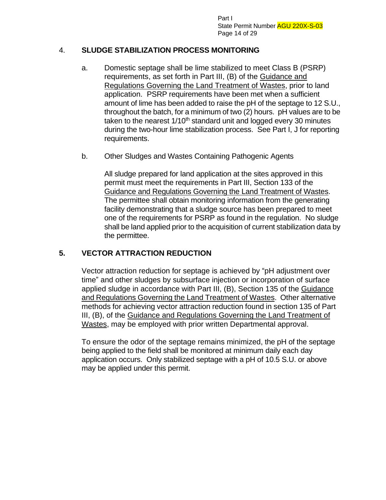Part I State Permit Number AGU 220X-S-03 Page 14 of 29

### 4. **SLUDGE STABILIZATION PROCESS MONITORING**

- a. Domestic septage shall be lime stabilized to meet Class B (PSRP) requirements, as set forth in Part III, (B) of the Guidance and Regulations Governing the Land Treatment of Wastes, prior to land application. PSRP requirements have been met when a sufficient amount of lime has been added to raise the pH of the septage to 12 S.U., throughout the batch, for a minimum of two (2) hours. pH values are to be taken to the nearest 1/10<sup>th</sup> standard unit and logged every 30 minutes during the two-hour lime stabilization process. See Part I, J for reporting requirements.
- b. Other Sludges and Wastes Containing Pathogenic Agents

All sludge prepared for land application at the sites approved in this permit must meet the requirements in Part III, Section 133 of the Guidance and Regulations Governing the Land Treatment of Wastes. The permittee shall obtain monitoring information from the generating facility demonstrating that a sludge source has been prepared to meet one of the requirements for PSRP as found in the regulation. No sludge shall be land applied prior to the acquisition of current stabilization data by the permittee.

## **5. VECTOR ATTRACTION REDUCTION**

Vector attraction reduction for septage is achieved by "pH adjustment over time" and other sludges by subsurface injection or incorporation of surface applied sludge in accordance with Part III, (B), Section 135 of the Guidance and Regulations Governing the Land Treatment of Wastes. Other alternative methods for achieving vector attraction reduction found in section 135 of Part III, (B), of the Guidance and Regulations Governing the Land Treatment of Wastes, may be employed with prior written Departmental approval.

To ensure the odor of the septage remains minimized, the pH of the septage being applied to the field shall be monitored at minimum daily each day application occurs. Only stabilized septage with a pH of 10.5 S.U. or above may be applied under this permit.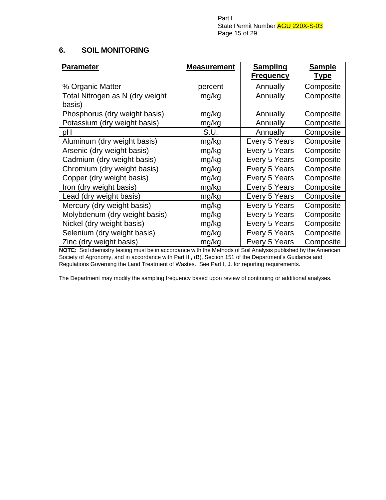Part I State Permit Number AGU 220X-S-03 Page 15 of 29

## **6. SOIL MONITORING**

| <b>Parameter</b>                | <b>Measurement</b> | <b>Sampling</b><br><b>Frequency</b> | <b>Sample</b><br><b>Type</b> |
|---------------------------------|--------------------|-------------------------------------|------------------------------|
| % Organic Matter                | percent            | Annually                            | Composite                    |
| Total Nitrogen as N (dry weight | mg/kg              | Annually                            | Composite                    |
| basis)                          |                    |                                     |                              |
| Phosphorus (dry weight basis)   | mg/kg              | Annually                            | Composite                    |
| Potassium (dry weight basis)    | mg/kg              | Annually                            | Composite                    |
| рH                              | S.U.               | Annually                            | Composite                    |
| Aluminum (dry weight basis)     | mg/kg              | Every 5 Years                       | Composite                    |
| Arsenic (dry weight basis)      | mg/kg              | Every 5 Years                       | Composite                    |
| Cadmium (dry weight basis)      | mg/kg              | Every 5 Years                       | Composite                    |
| Chromium (dry weight basis)     | mg/kg              | Every 5 Years                       | Composite                    |
| Copper (dry weight basis)       | mg/kg              | Every 5 Years                       | Composite                    |
| Iron (dry weight basis)         | mg/kg              | Every 5 Years                       | Composite                    |
| Lead (dry weight basis)         | mg/kg              | Every 5 Years                       | Composite                    |
| Mercury (dry weight basis)      | mg/kg              | Every 5 Years                       | Composite                    |
| Molybdenum (dry weight basis)   | mg/kg              | Every 5 Years                       | Composite                    |
| Nickel (dry weight basis)       | mg/kg              | Every 5 Years                       | Composite                    |
| Selenium (dry weight basis)     | mg/kg              | Every 5 Years                       | Composite                    |
| Zinc (dry weight basis)         | mg/kg              | Every 5 Years                       | Composite                    |

**NOTE:** Soil chemistry testing must be in accordance with the Methods of Soil Analysis published by the American Society of Agronomy, and in accordance with Part III, (B), Section 151 of the Department's Guidance and Regulations Governing the Land Treatment of Wastes. See Part I, J. for reporting requirements.

The Department may modify the sampling frequency based upon review of continuing or additional analyses.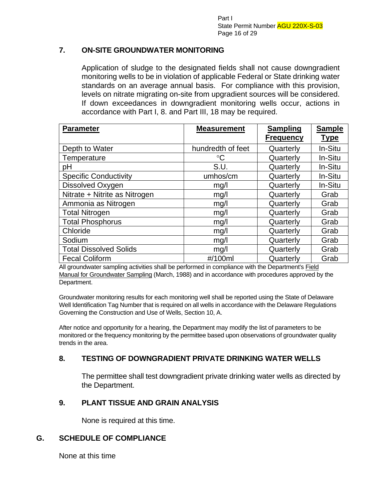Part I State Permit Number AGU 220X-S-03 Page 16 of 29

### **7. ON-SITE GROUNDWATER MONITORING**

Application of sludge to the designated fields shall not cause downgradient monitoring wells to be in violation of applicable Federal or State drinking water standards on an average annual basis. For compliance with this provision, levels on nitrate migrating on-site from upgradient sources will be considered. If down exceedances in downgradient monitoring wells occur, actions in accordance with Part I, 8. and Part III, 18 may be required.

| <b>Parameter</b>              | <b>Measurement</b> | <b>Sampling</b><br><b>Frequency</b> | <b>Sample</b><br><b>Type</b> |
|-------------------------------|--------------------|-------------------------------------|------------------------------|
| Depth to Water                | hundredth of feet  | Quarterly                           | In-Situ                      |
| Temperature                   | $\rm ^{\circ}C$    | Quarterly                           | In-Situ                      |
| pH                            | S.U.               | Quarterly                           | In-Situ                      |
| <b>Specific Conductivity</b>  | umhos/cm           | Quarterly                           | In-Situ                      |
| Dissolved Oxygen              | mg/l               | Quarterly                           | In-Situ                      |
| Nitrate + Nitrite as Nitrogen | mg/l               | Quarterly                           | Grab                         |
| Ammonia as Nitrogen           | mg/l               | Quarterly                           | Grab                         |
| <b>Total Nitrogen</b>         | mg/l               | Quarterly                           | Grab                         |
| <b>Total Phosphorus</b>       | mg/l               | Quarterly                           | Grab                         |
| Chloride                      | mg/l               | Quarterly                           | Grab                         |
| Sodium                        | mg/l               | Quarterly                           | Grab                         |
| <b>Total Dissolved Solids</b> | mg/l               | Quarterly                           | Grab                         |
| <b>Fecal Coliform</b>         | #/100ml            | Quarterly                           | Grab                         |

All groundwater sampling activities shall be performed in compliance with the Department's Field Manual for Groundwater Sampling (March, 1988) and in accordance with procedures approved by the Department.

Groundwater monitoring results for each monitoring well shall be reported using the State of Delaware Well Identification Tag Number that is required on all wells in accordance with the Delaware Regulations Governing the Construction and Use of Wells, Section 10, A.

After notice and opportunity for a hearing, the Department may modify the list of parameters to be monitored or the frequency monitoring by the permittee based upon observations of groundwater quality trends in the area.

### **8. TESTING OF DOWNGRADIENT PRIVATE DRINKING WATER WELLS**

The permittee shall test downgradient private drinking water wells as directed by the Department.

### **9. PLANT TISSUE AND GRAIN ANALYSIS**

None is required at this time.

### **G. SCHEDULE OF COMPLIANCE**

None at this time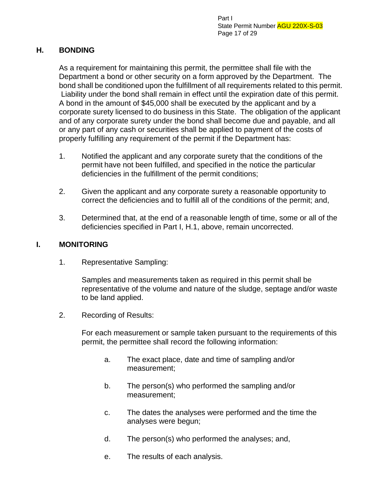## **H. BONDING**

As a requirement for maintaining this permit, the permittee shall file with the Department a bond or other security on a form approved by the Department. The bond shall be conditioned upon the fulfillment of all requirements related to this permit. Liability under the bond shall remain in effect until the expiration date of this permit. A bond in the amount of \$45,000 shall be executed by the applicant and by a corporate surety licensed to do business in this State. The obligation of the applicant and of any corporate surety under the bond shall become due and payable, and all or any part of any cash or securities shall be applied to payment of the costs of properly fulfilling any requirement of the permit if the Department has:

- 1. Notified the applicant and any corporate surety that the conditions of the permit have not been fulfilled, and specified in the notice the particular deficiencies in the fulfillment of the permit conditions;
- 2. Given the applicant and any corporate surety a reasonable opportunity to correct the deficiencies and to fulfill all of the conditions of the permit; and,
- 3. Determined that, at the end of a reasonable length of time, some or all of the deficiencies specified in Part I, H.1, above, remain uncorrected.

# **I. MONITORING**

1. Representative Sampling:

Samples and measurements taken as required in this permit shall be representative of the volume and nature of the sludge, septage and/or waste to be land applied.

2. Recording of Results:

For each measurement or sample taken pursuant to the requirements of this permit, the permittee shall record the following information:

- a. The exact place, date and time of sampling and/or measurement;
- b. The person(s) who performed the sampling and/or measurement;
- c. The dates the analyses were performed and the time the analyses were begun;
- d. The person(s) who performed the analyses; and,
- e. The results of each analysis.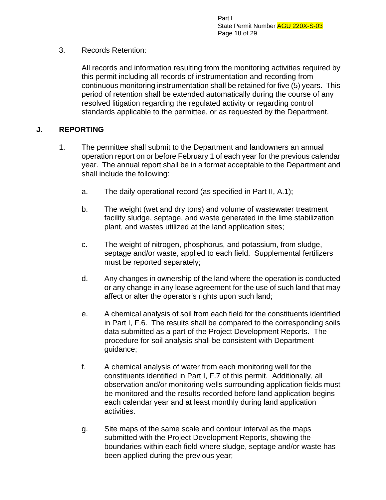## 3. Records Retention:

All records and information resulting from the monitoring activities required by this permit including all records of instrumentation and recording from continuous monitoring instrumentation shall be retained for five (5) years. This period of retention shall be extended automatically during the course of any resolved litigation regarding the regulated activity or regarding control standards applicable to the permittee, or as requested by the Department.

## **J. REPORTING**

- 1. The permittee shall submit to the Department and landowners an annual operation report on or before February 1 of each year for the previous calendar year. The annual report shall be in a format acceptable to the Department and shall include the following:
	- a. The daily operational record (as specified in Part II, A.1);
	- b. The weight (wet and dry tons) and volume of wastewater treatment facility sludge, septage, and waste generated in the lime stabilization plant, and wastes utilized at the land application sites;
	- c. The weight of nitrogen, phosphorus, and potassium, from sludge, septage and/or waste, applied to each field. Supplemental fertilizers must be reported separately;
	- d. Any changes in ownership of the land where the operation is conducted or any change in any lease agreement for the use of such land that may affect or alter the operator's rights upon such land;
	- e. A chemical analysis of soil from each field for the constituents identified in Part I, F.6. The results shall be compared to the corresponding soils data submitted as a part of the Project Development Reports. The procedure for soil analysis shall be consistent with Department guidance;
	- f. A chemical analysis of water from each monitoring well for the constituents identified in Part I, F.7 of this permit. Additionally, all observation and/or monitoring wells surrounding application fields must be monitored and the results recorded before land application begins each calendar year and at least monthly during land application activities.
	- g. Site maps of the same scale and contour interval as the maps submitted with the Project Development Reports, showing the boundaries within each field where sludge, septage and/or waste has been applied during the previous year;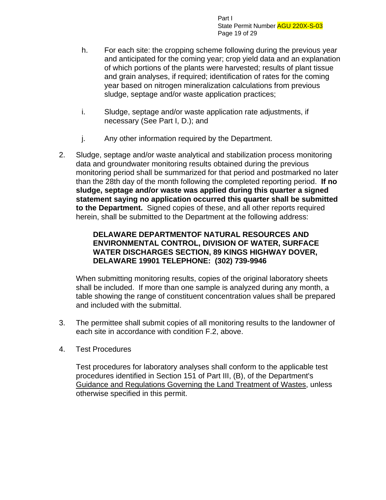Part I State Permit Number AGU 220X-S-03 Page 19 of 29

- h. For each site: the cropping scheme following during the previous year and anticipated for the coming year; crop yield data and an explanation of which portions of the plants were harvested; results of plant tissue and grain analyses, if required; identification of rates for the coming year based on nitrogen mineralization calculations from previous sludge, septage and/or waste application practices;
- i. Sludge, septage and/or waste application rate adjustments, if necessary (See Part I, D.); and
- j. Any other information required by the Department.
- 2. Sludge, septage and/or waste analytical and stabilization process monitoring data and groundwater monitoring results obtained during the previous monitoring period shall be summarized for that period and postmarked no later than the 28th day of the month following the completed reporting period. **If no sludge, septage and/or waste was applied during this quarter a signed statement saying no application occurred this quarter shall be submitted to the Department.** Signed copies of these, and all other reports required herein, shall be submitted to the Department at the following address:

## **DELAWARE DEPARTMENTOF NATURAL RESOURCES AND ENVIRONMENTAL CONTROL, DIVISION OF WATER, SURFACE WATER DISCHARGES SECTION, 89 KINGS HIGHWAY DOVER, DELAWARE 19901 TELEPHONE: (302) 739-9946**

When submitting monitoring results, copies of the original laboratory sheets shall be included. If more than one sample is analyzed during any month, a table showing the range of constituent concentration values shall be prepared and included with the submittal.

- 3. The permittee shall submit copies of all monitoring results to the landowner of each site in accordance with condition F.2, above.
- 4. Test Procedures

Test procedures for laboratory analyses shall conform to the applicable test procedures identified in Section 151 of Part III, (B), of the Department's Guidance and Regulations Governing the Land Treatment of Wastes, unless otherwise specified in this permit.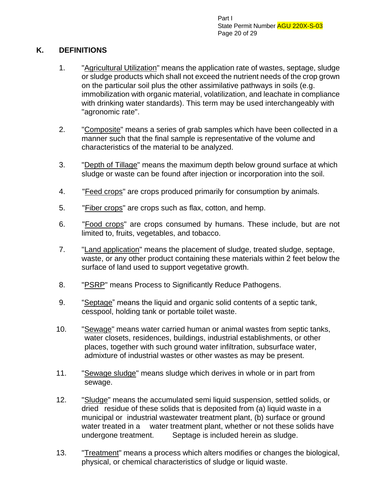Part I State Permit Number AGU 220X-S-03 Page 20 of 29

# **K. DEFINITIONS**

- 1. "Agricultural Utilization" means the application rate of wastes, septage, sludge or sludge products which shall not exceed the nutrient needs of the crop grown on the particular soil plus the other assimilative pathways in soils (e.g. immobilization with organic material, volatilization, and leachate in compliance with drinking water standards). This term may be used interchangeably with "agronomic rate".
- 2. "Composite" means a series of grab samples which have been collected in a manner such that the final sample is representative of the volume and characteristics of the material to be analyzed.
- 3. "Depth of Tillage" means the maximum depth below ground surface at which sludge or waste can be found after injection or incorporation into the soil.
- 4. "Feed crops" are crops produced primarily for consumption by animals.
- 5. "Fiber crops" are crops such as flax, cotton, and hemp.
- 6. "Food crops" are crops consumed by humans. These include, but are not limited to, fruits, vegetables, and tobacco.
- 7. "Land application" means the placement of sludge, treated sludge, septage, waste, or any other product containing these materials within 2 feet below the surface of land used to support vegetative growth.
- 8. "PSRP" means Process to Significantly Reduce Pathogens.
- 9. "Septage" means the liquid and organic solid contents of a septic tank, cesspool, holding tank or portable toilet waste.
- 10. "Sewage" means water carried human or animal wastes from septic tanks, water closets, residences, buildings, industrial establishments, or other places, together with such ground water infiltration, subsurface water, admixture of industrial wastes or other wastes as may be present.
- 11. "Sewage sludge" means sludge which derives in whole or in part from sewage.
- 12. "Sludge" means the accumulated semi liquid suspension, settled solids, or dried residue of these solids that is deposited from (a) liquid waste in a municipal or industrial wastewater treatment plant, (b) surface or ground water treated in a water treatment plant, whether or not these solids have undergone treatment. Septage is included herein as sludge.
- 13. "Treatment" means a process which alters modifies or changes the biological, physical, or chemical characteristics of sludge or liquid waste.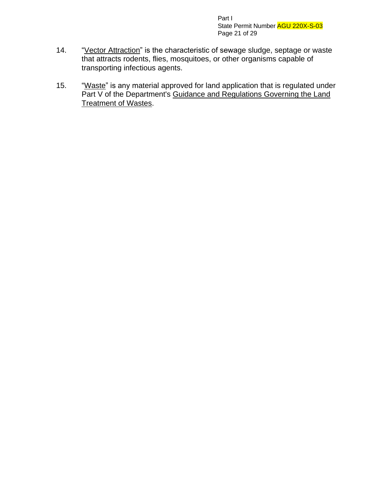Part I State Permit Number AGU 220X-S-03 Page 21 of 29

- 14. "Vector Attraction" is the characteristic of sewage sludge, septage or waste that attracts rodents, flies, mosquitoes, or other organisms capable of transporting infectious agents.
- 15. "Waste" is any material approved for land application that is regulated under Part V of the Department's Guidance and Regulations Governing the Land **Treatment of Wastes.**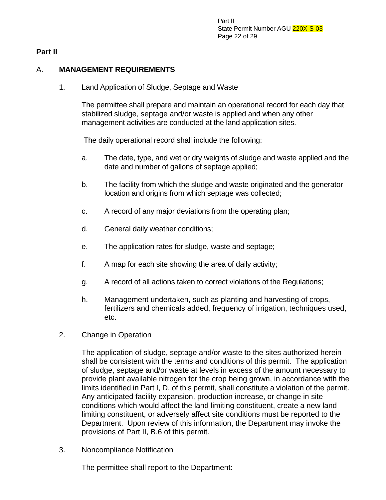### **Part II**

## A. **MANAGEMENT REQUIREMENTS**

1. Land Application of Sludge, Septage and Waste

The permittee shall prepare and maintain an operational record for each day that stabilized sludge, septage and/or waste is applied and when any other management activities are conducted at the land application sites.

The daily operational record shall include the following:

- a. The date, type, and wet or dry weights of sludge and waste applied and the date and number of gallons of septage applied;
- b. The facility from which the sludge and waste originated and the generator location and origins from which septage was collected;
- c. A record of any major deviations from the operating plan;
- d. General daily weather conditions;
- e. The application rates for sludge, waste and septage;
- f. A map for each site showing the area of daily activity;
- g. A record of all actions taken to correct violations of the Regulations;
- h. Management undertaken, such as planting and harvesting of crops, fertilizers and chemicals added, frequency of irrigation, techniques used, etc.
- 2. Change in Operation

The application of sludge, septage and/or waste to the sites authorized herein shall be consistent with the terms and conditions of this permit. The application of sludge, septage and/or waste at levels in excess of the amount necessary to provide plant available nitrogen for the crop being grown, in accordance with the limits identified in Part I, D. of this permit, shall constitute a violation of the permit. Any anticipated facility expansion, production increase, or change in site conditions which would affect the land limiting constituent, create a new land limiting constituent, or adversely affect site conditions must be reported to the Department. Upon review of this information, the Department may invoke the provisions of Part II, B.6 of this permit.

3. Noncompliance Notification

The permittee shall report to the Department: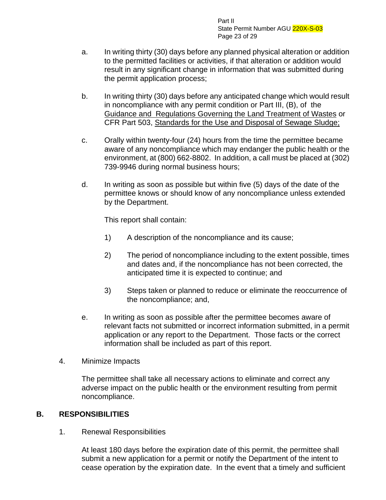Part II State Permit Number AGU 220X-S-03 Page 23 of 29

- a. In writing thirty (30) days before any planned physical alteration or addition to the permitted facilities or activities, if that alteration or addition would result in any significant change in information that was submitted during the permit application process;
- b. In writing thirty (30) days before any anticipated change which would result in noncompliance with any permit condition or Part III, (B), of the Guidance and Regulations Governing the Land Treatment of Wastes or CFR Part 503, Standards for the Use and Disposal of Sewage Sludge;
- c. Orally within twenty-four (24) hours from the time the permittee became aware of any noncompliance which may endanger the public health or the environment, at (800) 662-8802. In addition, a call must be placed at (302) 739-9946 during normal business hours;
- d. In writing as soon as possible but within five (5) days of the date of the permittee knows or should know of any noncompliance unless extended by the Department.

This report shall contain:

- 1) A description of the noncompliance and its cause;
- 2) The period of noncompliance including to the extent possible, times and dates and, if the noncompliance has not been corrected, the anticipated time it is expected to continue; and
- 3) Steps taken or planned to reduce or eliminate the reoccurrence of the noncompliance; and,
- e. In writing as soon as possible after the permittee becomes aware of relevant facts not submitted or incorrect information submitted, in a permit application or any report to the Department. Those facts or the correct information shall be included as part of this report.
- 4. Minimize Impacts

The permittee shall take all necessary actions to eliminate and correct any adverse impact on the public health or the environment resulting from permit noncompliance.

# **B. RESPONSIBILITIES**

1. Renewal Responsibilities

At least 180 days before the expiration date of this permit, the permittee shall submit a new application for a permit or notify the Department of the intent to cease operation by the expiration date. In the event that a timely and sufficient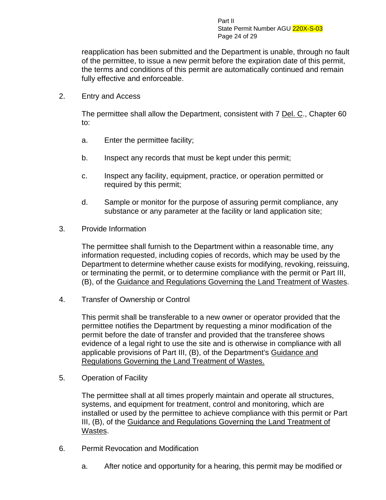Part II State Permit Number AGU 220X-S-03 Page 24 of 29

reapplication has been submitted and the Department is unable, through no fault of the permittee, to issue a new permit before the expiration date of this permit, the terms and conditions of this permit are automatically continued and remain fully effective and enforceable.

2. Entry and Access

The permittee shall allow the Department, consistent with 7 Del. C., Chapter 60 to:

- a. Enter the permittee facility;
- b. Inspect any records that must be kept under this permit;
- c. Inspect any facility, equipment, practice, or operation permitted or required by this permit;
- d. Sample or monitor for the purpose of assuring permit compliance, any substance or any parameter at the facility or land application site;
- 3. Provide Information

The permittee shall furnish to the Department within a reasonable time, any information requested, including copies of records, which may be used by the Department to determine whether cause exists for modifying, revoking, reissuing, or terminating the permit, or to determine compliance with the permit or Part III, (B), of the Guidance and Regulations Governing the Land Treatment of Wastes.

4. Transfer of Ownership or Control

This permit shall be transferable to a new owner or operator provided that the permittee notifies the Department by requesting a minor modification of the permit before the date of transfer and provided that the transferee shows evidence of a legal right to use the site and is otherwise in compliance with all applicable provisions of Part III, (B), of the Department's Guidance and Regulations Governing the Land Treatment of Wastes.

5. Operation of Facility

The permittee shall at all times properly maintain and operate all structures, systems, and equipment for treatment, control and monitoring, which are installed or used by the permittee to achieve compliance with this permit or Part III, (B), of the Guidance and Regulations Governing the Land Treatment of Wastes.

- 6. Permit Revocation and Modification
	- a. After notice and opportunity for a hearing, this permit may be modified or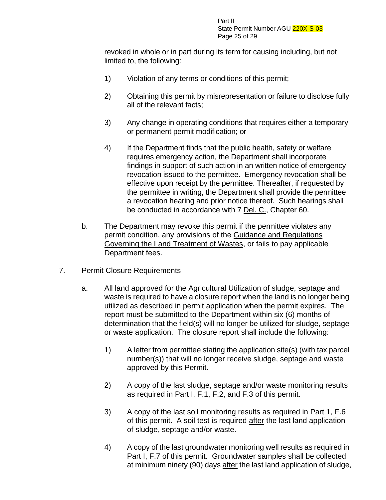revoked in whole or in part during its term for causing including, but not limited to, the following:

- 1) Violation of any terms or conditions of this permit;
- 2) Obtaining this permit by misrepresentation or failure to disclose fully all of the relevant facts;
- 3) Any change in operating conditions that requires either a temporary or permanent permit modification; or
- 4) If the Department finds that the public health, safety or welfare requires emergency action, the Department shall incorporate findings in support of such action in an written notice of emergency revocation issued to the permittee. Emergency revocation shall be effective upon receipt by the permittee. Thereafter, if requested by the permittee in writing, the Department shall provide the permittee a revocation hearing and prior notice thereof. Such hearings shall be conducted in accordance with 7 Del. C., Chapter 60.
- b. The Department may revoke this permit if the permittee violates any permit condition, any provisions of the Guidance and Regulations Governing the Land Treatment of Wastes, or fails to pay applicable Department fees.
- 7. Permit Closure Requirements
	- a. All land approved for the Agricultural Utilization of sludge, septage and waste is required to have a closure report when the land is no longer being utilized as described in permit application when the permit expires. The report must be submitted to the Department within six (6) months of determination that the field(s) will no longer be utilized for sludge, septage or waste application. The closure report shall include the following:
		- 1) A letter from permittee stating the application site(s) (with tax parcel number(s)) that will no longer receive sludge, septage and waste approved by this Permit.
		- 2) A copy of the last sludge, septage and/or waste monitoring results as required in Part I, F.1, F.2, and F.3 of this permit.
		- 3) A copy of the last soil monitoring results as required in Part 1, F.6 of this permit. A soil test is required after the last land application of sludge, septage and/or waste.
		- 4) A copy of the last groundwater monitoring well results as required in Part I, F.7 of this permit. Groundwater samples shall be collected at minimum ninety (90) days after the last land application of sludge,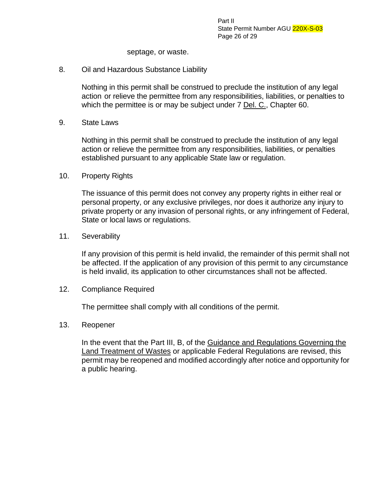Part II State Permit Number AGU 220X-S-03 Page 26 of 29

septage, or waste.

#### 8. Oil and Hazardous Substance Liability

Nothing in this permit shall be construed to preclude the institution of any legal action or relieve the permittee from any responsibilities, liabilities, or penalties to which the permittee is or may be subject under 7 Del. C., Chapter 60.

9. State Laws

Nothing in this permit shall be construed to preclude the institution of any legal action or relieve the permittee from any responsibilities, liabilities, or penalties established pursuant to any applicable State law or regulation.

10. Property Rights

The issuance of this permit does not convey any property rights in either real or personal property, or any exclusive privileges, nor does it authorize any injury to private property or any invasion of personal rights, or any infringement of Federal, State or local laws or regulations.

11. Severability

If any provision of this permit is held invalid, the remainder of this permit shall not be affected. If the application of any provision of this permit to any circumstance is held invalid, its application to other circumstances shall not be affected.

12. Compliance Required

The permittee shall comply with all conditions of the permit.

13. Reopener

In the event that the Part III, B, of the Guidance and Regulations Governing the Land Treatment of Wastes or applicable Federal Regulations are revised, this permit may be reopened and modified accordingly after notice and opportunity for a public hearing.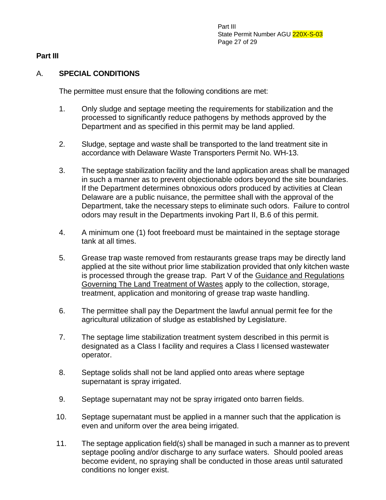#### **Part III**

### A. **SPECIAL CONDITIONS**

The permittee must ensure that the following conditions are met:

- 1. Only sludge and septage meeting the requirements for stabilization and the processed to significantly reduce pathogens by methods approved by the Department and as specified in this permit may be land applied.
- 2. Sludge, septage and waste shall be transported to the land treatment site in accordance with Delaware Waste Transporters Permit No. WH-13.
- 3. The septage stabilization facility and the land application areas shall be managed in such a manner as to prevent objectionable odors beyond the site boundaries. If the Department determines obnoxious odors produced by activities at Clean Delaware are a public nuisance, the permittee shall with the approval of the Department, take the necessary steps to eliminate such odors. Failure to control odors may result in the Departments invoking Part II, B.6 of this permit.
- 4. A minimum one (1) foot freeboard must be maintained in the septage storage tank at all times.
- 5. Grease trap waste removed from restaurants grease traps may be directly land applied at the site without prior lime stabilization provided that only kitchen waste is processed through the grease trap. Part V of the Guidance and Regulations Governing The Land Treatment of Wastes apply to the collection, storage, treatment, application and monitoring of grease trap waste handling.
- 6. The permittee shall pay the Department the lawful annual permit fee for the agricultural utilization of sludge as established by Legislature.
- 7. The septage lime stabilization treatment system described in this permit is designated as a Class I facility and requires a Class I licensed wastewater operator.
- 8. Septage solids shall not be land applied onto areas where septage supernatant is spray irrigated.
- 9. Septage supernatant may not be spray irrigated onto barren fields.
- 10. Septage supernatant must be applied in a manner such that the application is even and uniform over the area being irrigated.
- 11. The septage application field(s) shall be managed in such a manner as to prevent septage pooling and/or discharge to any surface waters. Should pooled areas become evident, no spraying shall be conducted in those areas until saturated conditions no longer exist.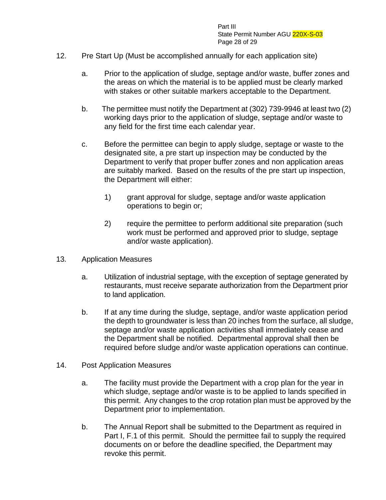Part III State Permit Number AGU 220X-S-03 Page 28 of 29

- 12. Pre Start Up (Must be accomplished annually for each application site)
	- a. Prior to the application of sludge, septage and/or waste, buffer zones and the areas on which the material is to be applied must be clearly marked with stakes or other suitable markers acceptable to the Department.
	- b. The permittee must notify the Department at (302) 739-9946 at least two (2) working days prior to the application of sludge, septage and/or waste to any field for the first time each calendar year.
	- c. Before the permittee can begin to apply sludge, septage or waste to the designated site, a pre start up inspection may be conducted by the Department to verify that proper buffer zones and non application areas are suitably marked. Based on the results of the pre start up inspection, the Department will either:
		- 1) grant approval for sludge, septage and/or waste application operations to begin or;
		- 2) require the permittee to perform additional site preparation (such work must be performed and approved prior to sludge, septage and/or waste application).
- 13. Application Measures
	- a. Utilization of industrial septage, with the exception of septage generated by restaurants, must receive separate authorization from the Department prior to land application.
	- b. If at any time during the sludge, septage, and/or waste application period the depth to groundwater is less than 20 inches from the surface, all sludge, septage and/or waste application activities shall immediately cease and the Department shall be notified. Departmental approval shall then be required before sludge and/or waste application operations can continue.
- 14. Post Application Measures
	- a. The facility must provide the Department with a crop plan for the year in which sludge, septage and/or waste is to be applied to lands specified in this permit. Any changes to the crop rotation plan must be approved by the Department prior to implementation.
	- b. The Annual Report shall be submitted to the Department as required in Part I, F.1 of this permit. Should the permittee fail to supply the required documents on or before the deadline specified, the Department may revoke this permit.